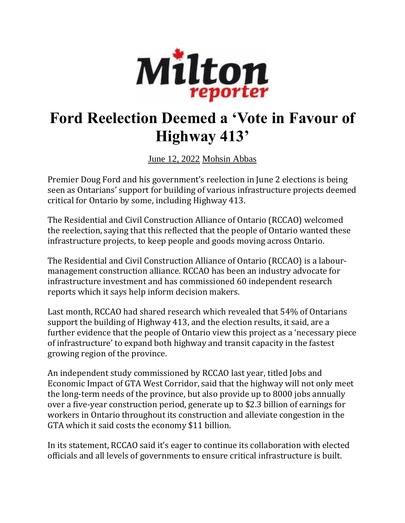

## **Ford Reelection Deemed a 'Vote in Favour of Highway 413'**

June 12, [2022](https://miltonreporter.ca/2022/06/) [Mohsin](https://miltonreporter.ca/author/abbasmohsin/) Abbas

Premier Doug Ford and his government's reelection in June 2 elections is being seen as Ontarians' support for building of various infrastructure projects deemed critical for Ontario by some, including Highway 413.

The Residential and Civil Construction Alliance of Ontario (RCCAO) welcomed the reelection, saying that this reflected that the people of Ontario wanted these infrastructure projects, to keep people and goods moving across Ontario.

The Residential and Civil Construction Alliance of Ontario (RCCAO) is a labourmanagement construction alliance. RCCAO has been an industry advocate for infrastructure investment and has commissioned 60 independent research reports which it says help inform decision makers.

Last month, RCCAO had shared research which revealed that 54% of Ontarians support the building of Highway 413, and the election results, it said, are a further evidence that the people of Ontario view this project as a 'necessary piece of infrastructure' to expand both highway and transit capacity in the fastest growing region of the province.

An independent study commissioned by RCCAO last year, titled Jobs and Economic Impact of GTA West Corridor, said that the highway will not only meet the long-term needs of the province, but also provide up to 8000 jobs annually over a five-year construction period, generate up to \$2.3 billion of earnings for workers in Ontario throughout its construction and alleviate congestion in the GTA which it said costs the economy \$11 billion.

In its statement, RCCAO said it's eager to continue its collaboration with elected officials and all levels of governments to ensure critical infrastructure is built.